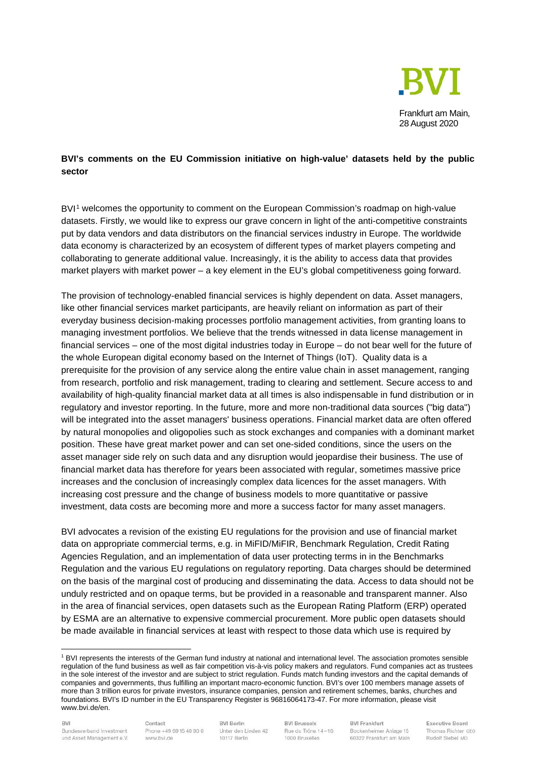

## **BVI's comments on the EU Commission initiative on high-value' datasets held by the public sector**

BVI<sup>[1](#page-0-0)</sup> welcomes the opportunity to comment on the European Commission's roadmap on high-value datasets. Firstly, we would like to express our grave concern in light of the anti-competitive constraints put by data vendors and data distributors on the financial services industry in Europe. The worldwide data economy is characterized by an ecosystem of different types of market players competing and collaborating to generate additional value. Increasingly, it is the ability to access data that provides market players with market power – a key element in the EU's global competitiveness going forward.

The provision of technology-enabled financial services is highly dependent on data. Asset managers, like other financial services market participants, are heavily reliant on information as part of their everyday business decision-making processes portfolio management activities, from granting loans to managing investment portfolios. We believe that the trends witnessed in data license management in financial services – one of the most digital industries today in Europe – do not bear well for the future of the whole European digital economy based on the Internet of Things (IoT). Quality data is a prerequisite for the provision of any service along the entire value chain in asset management, ranging from research, portfolio and risk management, trading to clearing and settlement. Secure access to and availability of high-quality financial market data at all times is also indispensable in fund distribution or in regulatory and investor reporting. In the future, more and more non-traditional data sources ("big data") will be integrated into the asset managers' business operations. Financial market data are often offered by natural monopolies and oligopolies such as stock exchanges and companies with a dominant market position. These have great market power and can set one-sided conditions, since the users on the asset manager side rely on such data and any disruption would jeopardise their business. The use of financial market data has therefore for years been associated with regular, sometimes massive price increases and the conclusion of increasingly complex data licences for the asset managers. With increasing cost pressure and the change of business models to more quantitative or passive investment, data costs are becoming more and more a success factor for many asset managers.

BVI advocates a revision of the existing EU regulations for the provision and use of financial market data on appropriate commercial terms, e.g. in MiFID/MiFIR, Benchmark Regulation, Credit Rating Agencies Regulation, and an implementation of data user protecting terms in in the Benchmarks Regulation and the various EU regulations on regulatory reporting. Data charges should be determined on the basis of the marginal cost of producing and disseminating the data. Access to data should not be unduly restricted and on opaque terms, but be provided in a reasonable and transparent manner. Also in the area of financial services, open datasets such as the European Rating Platform (ERP) operated by ESMA are an alternative to expensive commercial procurement. More public open datasets should be made available in financial services at least with respect to those data which use is required by

Contact Phone +49 69 15 40 90 0 www.bvi.de

**BVI Berlin** Unter den Linden 42 10117 Berlin

**BVI Brussels** Rue du Trône 14-16 1000 Bruxelles

**BVI Frankfurt** Bockenheimer Anlage 15 60322 Frankfurt am Main

<span id="page-0-0"></span><sup>1</sup> BVI represents the interests of the German fund industry at national and international level. The association promotes sensible regulation of the fund business as well as fair competition vis-à-vis policy makers and regulators. Fund companies act as trustees in the sole interest of the investor and are subject to strict regulation. Funds match funding investors and the capital demands of companies and governments, thus fulfilling an important macro-economic function. BVI's over 100 members manage assets of more than 3 trillion euros for private investors, insurance companies, pension and retirement schemes, banks, churches and foundations. BVI's ID number in the EU Transparency Register is 96816064173-47. For more information, please visit www.bvi.de/en.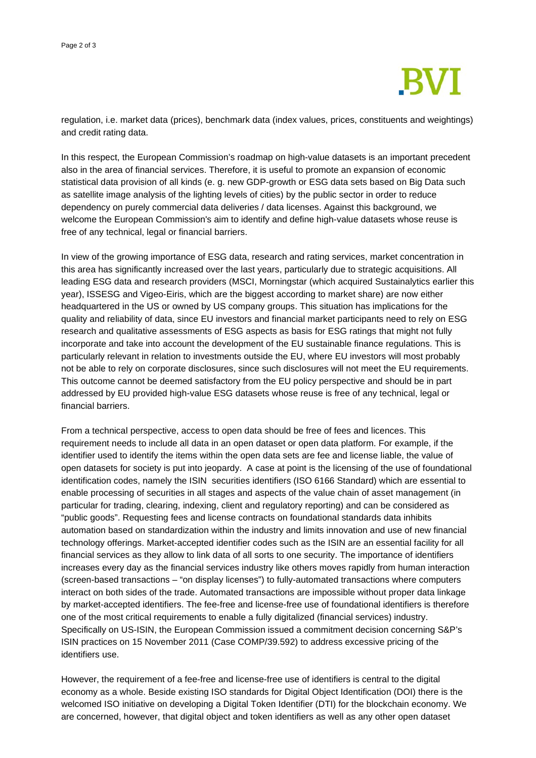

regulation, i.e. market data (prices), benchmark data (index values, prices, constituents and weightings) and credit rating data.

In this respect, the European Commission's roadmap on high-value datasets is an important precedent also in the area of financial services. Therefore, it is useful to promote an expansion of economic statistical data provision of all kinds (e. g. new GDP-growth or ESG data sets based on Big Data such as satellite image analysis of the lighting levels of cities) by the public sector in order to reduce dependency on purely commercial data deliveries / data licenses. Against this background, we welcome the European Commission's aim to identify and define high-value datasets whose reuse is free of any technical, legal or financial barriers.

In view of the growing importance of ESG data, research and rating services, market concentration in this area has significantly increased over the last years, particularly due to strategic acquisitions. All leading ESG data and research providers (MSCI, Morningstar (which acquired Sustainalytics earlier this year), ISSESG and Vigeo-Eiris, which are the biggest according to market share) are now either headquartered in the US or owned by US company groups. This situation has implications for the quality and reliability of data, since EU investors and financial market participants need to rely on ESG research and qualitative assessments of ESG aspects as basis for ESG ratings that might not fully incorporate and take into account the development of the EU sustainable finance regulations. This is particularly relevant in relation to investments outside the EU, where EU investors will most probably not be able to rely on corporate disclosures, since such disclosures will not meet the EU requirements. This outcome cannot be deemed satisfactory from the EU policy perspective and should be in part addressed by EU provided high-value ESG datasets whose reuse is free of any technical, legal or financial barriers.

From a technical perspective, access to open data should be free of fees and licences. This requirement needs to include all data in an open dataset or open data platform. For example, if the identifier used to identify the items within the open data sets are fee and license liable, the value of open datasets for society is put into jeopardy. A case at point is the licensing of the use of foundational identification codes, namely the ISIN securities identifiers (ISO 6166 Standard) which are essential to enable processing of securities in all stages and aspects of the value chain of asset management (in particular for trading, clearing, indexing, client and regulatory reporting) and can be considered as "public goods". Requesting fees and license contracts on foundational standards data inhibits automation based on standardization within the industry and limits innovation and use of new financial technology offerings. Market-accepted identifier codes such as the ISIN are an essential facility for all financial services as they allow to link data of all sorts to one security. The importance of identifiers increases every day as the financial services industry like others moves rapidly from human interaction (screen-based transactions – "on display licenses") to fully-automated transactions where computers interact on both sides of the trade. Automated transactions are impossible without proper data linkage by market-accepted identifiers. The fee-free and license-free use of foundational identifiers is therefore one of the most critical requirements to enable a fully digitalized (financial services) industry. Specifically on US-ISIN, the European Commission issued a commitment decision concerning S&P's ISIN practices on 15 November 2011 (Case COMP/39.592) to address excessive pricing of the identifiers use.

However, the requirement of a fee-free and license-free use of identifiers is central to the digital economy as a whole. Beside existing ISO standards for Digital Object Identification (DOI) there is the welcomed ISO initiative on developing a Digital Token Identifier (DTI) for the blockchain economy. We are concerned, however, that digital object and token identifiers as well as any other open dataset